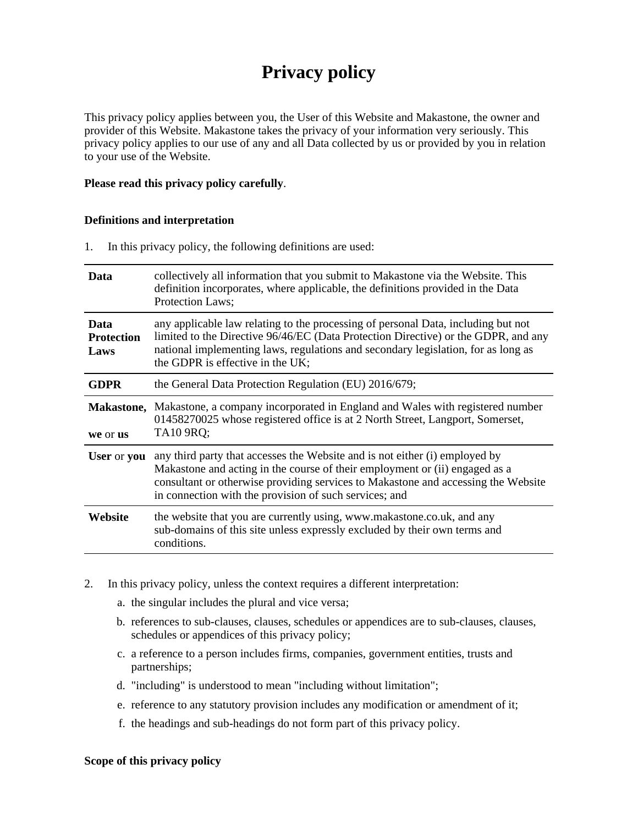# **Privacy policy**

This privacy policy applies between you, the User of this Website and Makastone, the owner and provider of this Website. Makastone takes the privacy of your information very seriously. This privacy policy applies to our use of any and all Data collected by us or provided by you in relation to your use of the Website.

#### **Please read this privacy policy carefully**.

#### **Definitions and interpretation**

1. In this privacy policy, the following definitions are used:

| Data                      | collectively all information that you submit to Makastone via the Website. This<br>definition incorporates, where applicable, the definitions provided in the Data<br>Protection Laws;                                                                                                                    |
|---------------------------|-----------------------------------------------------------------------------------------------------------------------------------------------------------------------------------------------------------------------------------------------------------------------------------------------------------|
| Data                      | any applicable law relating to the processing of personal Data, including but not<br>limited to the Directive 96/46/EC (Data Protection Directive) or the GDPR, and any                                                                                                                                   |
| <b>Protection</b><br>Laws | national implementing laws, regulations and secondary legislation, for as long as<br>the GDPR is effective in the UK;                                                                                                                                                                                     |
| <b>GDPR</b>               | the General Data Protection Regulation (EU) 2016/679;                                                                                                                                                                                                                                                     |
| <b>Makastone,</b>         | Makastone, a company incorporated in England and Wales with registered number<br>01458270025 whose registered office is at 2 North Street, Langport, Somerset,<br>TA10 9RQ;                                                                                                                               |
| we or us                  |                                                                                                                                                                                                                                                                                                           |
| User or you               | any third party that accesses the Website and is not either (i) employed by<br>Makastone and acting in the course of their employment or (ii) engaged as a<br>consultant or otherwise providing services to Makastone and accessing the Website<br>in connection with the provision of such services; and |
| Website                   | the website that you are currently using, www.makastone.co.uk, and any<br>sub-domains of this site unless expressly excluded by their own terms and<br>conditions.                                                                                                                                        |

- 2. In this privacy policy, unless the context requires a different interpretation:
	- a. the singular includes the plural and vice versa;
	- b. references to sub-clauses, clauses, schedules or appendices are to sub-clauses, clauses, schedules or appendices of this privacy policy;
	- c. a reference to a person includes firms, companies, government entities, trusts and partnerships;
	- d. "including" is understood to mean "including without limitation";
	- e. reference to any statutory provision includes any modification or amendment of it;
	- f. the headings and sub-headings do not form part of this privacy policy.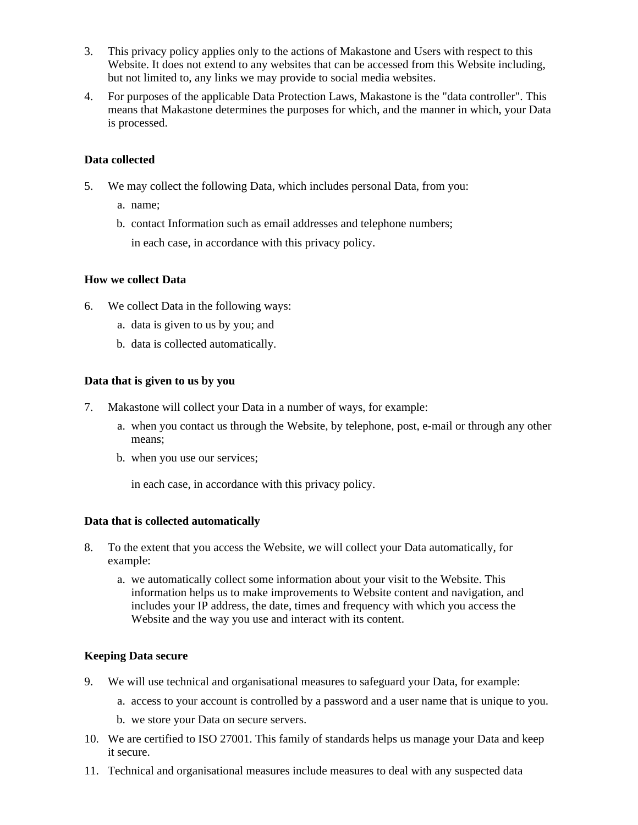- 3. This privacy policy applies only to the actions of Makastone and Users with respect to this Website. It does not extend to any websites that can be accessed from this Website including, but not limited to, any links we may provide to social media websites.
- 4. For purposes of the applicable Data Protection Laws, Makastone is the "data controller". This means that Makastone determines the purposes for which, and the manner in which, your Data is processed.

#### **Data collected**

- 5. We may collect the following Data, which includes personal Data, from you:
	- a. name;
	- b. contact Information such as email addresses and telephone numbers;

in each case, in accordance with this privacy policy.

# **How we collect Data**

- 6. We collect Data in the following ways:
	- a. data is given to us by you; and
	- b. data is collected automatically.

# **Data that is given to us by you**

- 7. Makastone will collect your Data in a number of ways, for example:
	- a. when you contact us through the Website, by telephone, post, e-mail or through any other means;
	- b. when you use our services;

in each case, in accordance with this privacy policy.

# **Data that is collected automatically**

- 8. To the extent that you access the Website, we will collect your Data automatically, for example:
	- a. we automatically collect some information about your visit to the Website. This information helps us to make improvements to Website content and navigation, and includes your IP address, the date, times and frequency with which you access the Website and the way you use and interact with its content.

# **Keeping Data secure**

- 9. We will use technical and organisational measures to safeguard your Data, for example:
	- a. access to your account is controlled by a password and a user name that is unique to you.
	- b. we store your Data on secure servers.
- 10. We are certified to ISO 27001. This family of standards helps us manage your Data and keep it secure.
- 11. Technical and organisational measures include measures to deal with any suspected data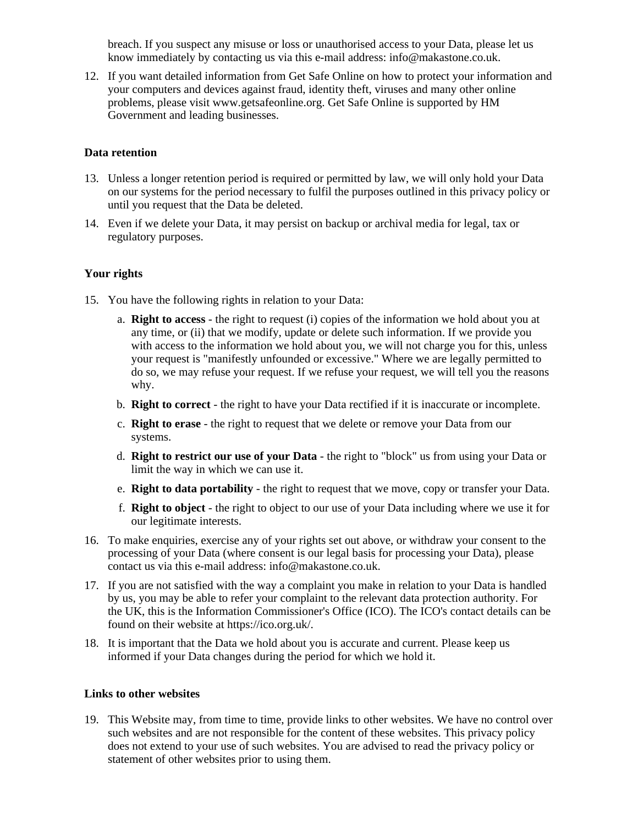breach. If you suspect any misuse or loss or unauthorised access to your Data, please let us know immediately by contacting us via this e-mail address: info@makastone.co.uk.

12. If you want detailed information from Get Safe Online on how to protect your information and your computers and devices against fraud, identity theft, viruses and many other online problems, please visit www.getsafeonline.org. Get Safe Online is supported by HM Government and leading businesses.

# **Data retention**

- 13. Unless a longer retention period is required or permitted by law, we will only hold your Data on our systems for the period necessary to fulfil the purposes outlined in this privacy policy or until you request that the Data be deleted.
- 14. Even if we delete your Data, it may persist on backup or archival media for legal, tax or regulatory purposes.

# **Your rights**

- 15. You have the following rights in relation to your Data:
	- a. **Right to access** the right to request (i) copies of the information we hold about you at any time, or (ii) that we modify, update or delete such information. If we provide you with access to the information we hold about you, we will not charge you for this, unless your request is "manifestly unfounded or excessive." Where we are legally permitted to do so, we may refuse your request. If we refuse your request, we will tell you the reasons why.
	- b. **Right to correct** the right to have your Data rectified if it is inaccurate or incomplete.
	- c. **Right to erase** the right to request that we delete or remove your Data from our systems.
	- d. **Right to restrict our use of your Data** the right to "block" us from using your Data or limit the way in which we can use it.
	- e. **Right to data portability** the right to request that we move, copy or transfer your Data.
	- f. **Right to object** the right to object to our use of your Data including where we use it for our legitimate interests.
- 16. To make enquiries, exercise any of your rights set out above, or withdraw your consent to the processing of your Data (where consent is our legal basis for processing your Data), please contact us via this e-mail address: info@makastone.co.uk.
- 17. If you are not satisfied with the way a complaint you make in relation to your Data is handled by us, you may be able to refer your complaint to the relevant data protection authority. For the UK, this is the Information Commissioner's Office (ICO). The ICO's contact details can be found on their website at https://ico.org.uk/.
- 18. It is important that the Data we hold about you is accurate and current. Please keep us informed if your Data changes during the period for which we hold it.

# **Links to other websites**

19. This Website may, from time to time, provide links to other websites. We have no control over such websites and are not responsible for the content of these websites. This privacy policy does not extend to your use of such websites. You are advised to read the privacy policy or statement of other websites prior to using them.